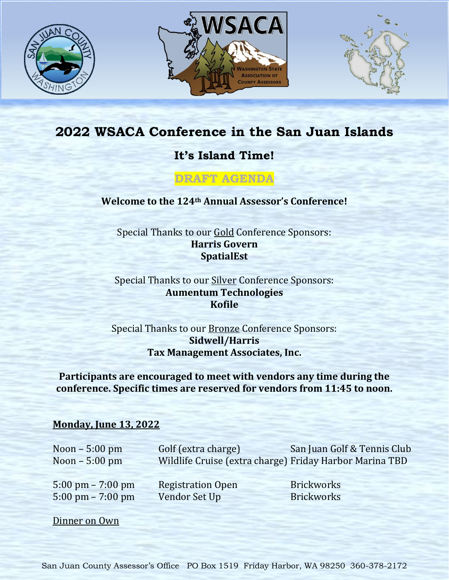





## **2022 WSACA Conference in the San Juan Islands**

**It's Island Time!**

**DRAFT AGENDA**

**Welcome to the 124th Annual Assessor's Conference!**

Special Thanks to our Gold Conference Sponsors: **Harris Govern SpatialEst**

Special Thanks to our **Silver** Conference Sponsors: **Aumentum Technologies Kofile**

Special Thanks to our Bronze Conference Sponsors: **Sidwell/Harris Tax Management Associates, Inc.**

**Participants are encouraged to meet with vendors any time during the conference. Specific times are reserved for vendors from 11:45 to noon.**

## **Monday, June 13, 2022**

Noon – 5:00 pm Golf (extra charge) San Juan Golf & Tennis Club Noon – 5:00 pm Wildlife Cruise (extra charge) Friday Harbor Marina TBD

5:00 pm – 7:00 pm Registration Open Brickworks 5:00 pm – 7:00 pm – Vendor Set Up Brickworks

Dinner on Own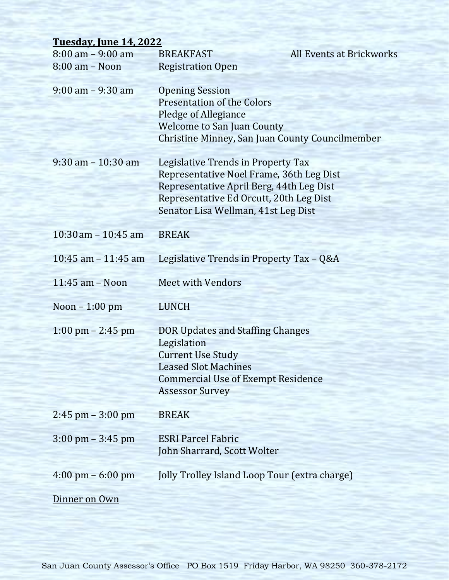| <b>Tuesday, June 14, 2022</b>          |                                                                                                                                                                                                              |                                 |
|----------------------------------------|--------------------------------------------------------------------------------------------------------------------------------------------------------------------------------------------------------------|---------------------------------|
| $8:00$ am $-9:00$ am<br>8:00 am - Noon | <b>BREAKFAST</b><br><b>Registration Open</b>                                                                                                                                                                 | <b>All Events at Brickworks</b> |
| $9:00$ am $-9:30$ am                   | <b>Opening Session</b><br><b>Presentation of the Colors</b><br>Pledge of Allegiance<br><b>Welcome to San Juan County</b><br>Christine Minney, San Juan County Councilmember                                  |                                 |
| $9:30$ am $-10:30$ am                  | Legislative Trends in Property Tax<br>Representative Noel Frame, 36th Leg Dist<br>Representative April Berg, 44th Leg Dist<br>Representative Ed Orcutt, 20th Leg Dist<br>Senator Lisa Wellman, 41st Leg Dist |                                 |
| $10:30$ am $-10:45$ am                 | <b>BREAK</b>                                                                                                                                                                                                 |                                 |
| 10:45 am $-$ 11:45 am                  | Legislative Trends in Property Tax - Q&A                                                                                                                                                                     |                                 |
| $11:45$ am $-$ Noon                    | <b>Meet with Vendors</b>                                                                                                                                                                                     |                                 |
| Noon - 1:00 pm                         | <b>LUNCH</b>                                                                                                                                                                                                 |                                 |
| $1:00 \text{ pm} - 2:45 \text{ pm}$    | DOR Updates and Staffing Changes<br>Legislation<br><b>Current Use Study</b><br><b>Leased Slot Machines</b><br><b>Commercial Use of Exempt Residence</b><br><b>Assessor Survey</b>                            |                                 |
| $2:45$ pm $-3:00$ pm                   | <b>BREAK</b>                                                                                                                                                                                                 |                                 |
| $3:00 \text{ pm} - 3:45 \text{ pm}$    | <b>ESRI Parcel Fabric</b><br>John Sharrard, Scott Wolter                                                                                                                                                     |                                 |
| $4:00 \text{ pm} - 6:00 \text{ pm}$    | Jolly Trolley Island Loop Tour (extra charge)                                                                                                                                                                |                                 |
| Dinner on Own                          |                                                                                                                                                                                                              |                                 |

San Juan County Assessor's Office PO Box 1519 Friday Harbor, WA 98250 360-378-2172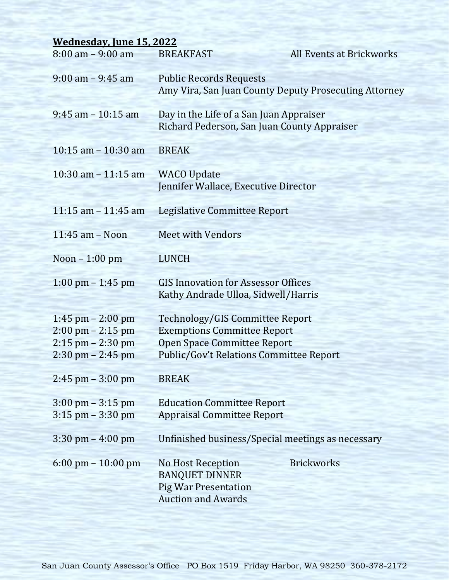| <b>Wednesday, June 15, 2022</b>                              |                                                                                                               |                                 |  |  |
|--------------------------------------------------------------|---------------------------------------------------------------------------------------------------------------|---------------------------------|--|--|
| $8:00$ am $-9:00$ am                                         | <b>BREAKFAST</b>                                                                                              | <b>All Events at Brickworks</b> |  |  |
| $9:00$ am $-9:45$ am                                         | <b>Public Records Requests</b><br>Amy Vira, San Juan County Deputy Prosecuting Attorney                       |                                 |  |  |
| $9:45$ am $-10:15$ am                                        | Day in the Life of a San Juan Appraiser<br>Richard Pederson, San Juan County Appraiser                        |                                 |  |  |
| $10:15$ am $-10:30$ am                                       | <b>BREAK</b>                                                                                                  |                                 |  |  |
| $10:30$ am $-11:15$ am                                       | <b>WACO Update</b><br>Jennifer Wallace, Executive Director                                                    |                                 |  |  |
| 11:15 am $-$ 11:45 am                                        | <b>Legislative Committee Report</b>                                                                           |                                 |  |  |
| $11:45$ am $-$ Noon                                          | <b>Meet with Vendors</b>                                                                                      |                                 |  |  |
| Noon $-1:00$ pm                                              | <b>LUNCH</b>                                                                                                  |                                 |  |  |
| $1:00 \text{ pm} - 1:45 \text{ pm}$                          | <b>GIS Innovation for Assessor Offices</b><br>Kathy Andrade Ulloa, Sidwell/Harris                             |                                 |  |  |
| $1:45$ pm $- 2:00$ pm                                        | Technology/GIS Committee Report                                                                               |                                 |  |  |
| $2:00 \text{ pm} - 2:15 \text{ pm}$                          | <b>Exemptions Committee Report</b>                                                                            |                                 |  |  |
| $2:15$ pm $- 2:30$ pm<br>$2:30 \text{ pm} - 2:45 \text{ pm}$ | <b>Open Space Committee Report</b><br><b>Public/Gov't Relations Committee Report</b>                          |                                 |  |  |
|                                                              |                                                                                                               |                                 |  |  |
| $2:45$ pm $-3:00$ pm                                         | <b>BREAK</b>                                                                                                  |                                 |  |  |
| $3:00 \text{ pm} - 3:15 \text{ pm}$                          | <b>Education Committee Report</b>                                                                             |                                 |  |  |
| $3:15$ pm $-3:30$ pm                                         | <b>Appraisal Committee Report</b>                                                                             |                                 |  |  |
| $3:30 \text{ pm} - 4:00 \text{ pm}$                          | Unfinished business/Special meetings as necessary                                                             |                                 |  |  |
| $6:00 \text{ pm} - 10:00 \text{ pm}$                         | <b>No Host Reception</b><br><b>BANQUET DINNER</b><br><b>Pig War Presentation</b><br><b>Auction and Awards</b> | <b>Brickworks</b>               |  |  |

San Juan County Assessor's Office PO Box 1519 Friday Harbor, WA 98250 360-378-2172